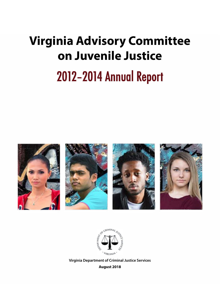# **Virginia Advisory Committee on Juvenile Justice** 2012–2014 Annual Report





**Virginia Department of Criminal Justice Services August 2018**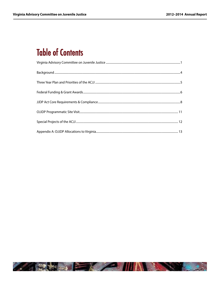# **Table of Contents**

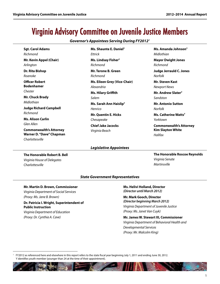# Virginia Advisory Committee on Juvenile Justice Members

*Governor's Appointees Serving During FY20121*

| <b>Sgt. Carol Adams</b>         | Ms. Shaunte E. Daniel <sup>Y</sup> | Ms. Amanda Johnson <sup>Y</sup>  |
|---------------------------------|------------------------------------|----------------------------------|
| Richmond                        | <b>Ettrick</b>                     | Midlothian                       |
| Mr. Kevin Appel (Chair)         | Ms. Lindsay Fisher <sup>Y</sup>    | <b>Mayor Dwight Jones</b>        |
| Arlington                       | Richmond                           | Richmond                         |
| Dr. Rita Bishop                 | Mr. Terone B. Green                | <b>Judge Jerrauld C. Jones</b>   |
| Roanoke                         | Richmond                           | <b>Norfolk</b>                   |
| <b>Officer Robert</b>           | Ms. Eileen Grey (Vice-Chair)       | Mr. Steven Kast                  |
| <b>Bodenhamer</b>               | Alexandria                         | Newport News                     |
| Chester                         | <b>Ms. Hilary Griffith</b>         | Mr. Andrew Slater <sup>Y</sup>   |
| Mr. Chuck Brady                 | Salem                              | Sandston                         |
| Midlothian                      | Ms. Sarah Ann Haislip <sup>Y</sup> | <b>Mr. Antonio Sutton</b>        |
| <b>Judge Richard Campbell</b>   | Henrico                            | <b>Norfolk</b>                   |
| Richmond                        | <b>Mr. Quentin E. Hicks</b>        | Ms. Catherine Watts <sup>Y</sup> |
| <b>Ms. Alison Carlin</b>        | Chesapeake                         | Yorktown                         |
| Glen Allen                      | <b>Chief Jake Jacocks</b>          | <b>Commonwealth's Attorney</b>   |
| <b>Commonwealth's Attorney</b>  | Virginia Beach                     | <b>Kim Slayton White</b>         |
| <b>Warner D. "Dave" Chapman</b> |                                    | Halifax                          |
| Charlottesville                 |                                    |                                  |

#### **The Honorable Robert B. Bell** *Virginia House of Delegates*

*Charlottesville*

### *Legislative Appointees*

# **The Honorable Roscoe Reynolds** *Virginia Senate Martinsville*

#### *State Government Representatives*

#### **Mr. Martin D. Brown, Commissioner**

*Virginia Department of Social Services (Proxy: Ms. Jane B. Brown)*

#### **Dr. Patricia I. Wright, Superintendent of Public Instruction**

*Virginia Department of Education (Proxy: Dr. Cynthia A. Cave)* 

#### **Ms. Helivi Holland, Director**  *(Director until March 2012)*

#### **Mr. Mark Gooch, Director**

*(Director beginning March 2012) Virginia Department of Juvenile Justice (Proxy: Ms. Janet Van Cuyk)*

#### **Mr. James W. Stewart III, Commissioner**

*Virginia Department of Behavioral Health and Developmental Services (Proxy: Mr. Malcolm King)*

<sup>1</sup> FY2012 as referenced here and elsewhere in this report refers to the state fiscal year beginning July 1, 2011 and ending June 30, 2012. Y identifies youth member (younger than 24 at the time of their appointment).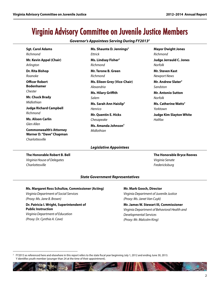# Virginia Advisory Committee on Juvenile Justice Members

*Governor's Appointees Serving During FY20132*

| <b>Sgt. Carol Adams</b>                                                       | Ms. Shaunte D. Jennings <sup>Y</sup> | <b>Mayor Dwight Jones</b>        |
|-------------------------------------------------------------------------------|--------------------------------------|----------------------------------|
| Richmond                                                                      | <b>Ettrick</b>                       | Richmond                         |
| Mr. Kevin Appel (Chair)                                                       | Ms. Lindsay Fisher <sup>Y</sup>      | <b>Judge Jerrauld C. Jones</b>   |
| Arlington                                                                     | Richmond                             | <b>Norfolk</b>                   |
| Dr. Rita Bishop                                                               | Mr. Terone B. Green                  | <b>Mr. Steven Kast</b>           |
| Roanoke                                                                       | Richmond                             | <b>Newport News</b>              |
| <b>Officer Robert</b>                                                         | <b>Ms. Eileen Grey (Vice-Chair)</b>  | Mr. Andrew Slater <sup>Y</sup>   |
| <b>Bodenhamer</b>                                                             | Alexandria                           | Sandston                         |
| Chester                                                                       | <b>Ms. Hilary Griffith</b>           | <b>Mr. Antonio Sutton</b>        |
| Mr. Chuck Brady                                                               | Salem                                | <b>Norfolk</b>                   |
| Midlothian                                                                    | Ms. Sarah Ann Haislip <sup>Y</sup>   | Ms. Catherine Watts <sup>Y</sup> |
| <b>Judge Richard Campbell</b>                                                 | Henrico                              | Yorktown                         |
| Richmond                                                                      | <b>Mr. Quentin E. Hicks</b>          | <b>Judge Kim Slayton White</b>   |
| <b>Ms. Alison Carlin</b>                                                      | Chesapeake                           | Halifax                          |
| Glen Allen                                                                    | Ms. Amanda Johnson <sup>Y</sup>      |                                  |
| <b>Commonwealth's Attorney</b><br>Warner D. "Dave" Chapman<br>Charlottesville | Midlothian                           |                                  |

### *Legislative Appointees*

#### **The Honorable Robert B. Bell** *Virginia House of Delegates Charlottesville*

# **The Honorable Bryce Reeves** *Virginia Senate Fredericksburg*

#### *State Government Representatives*

#### **Ms. Margaret Ross Schultze, Commissioner (Acting)**

*Virginia Department of Social Services (Proxy: Ms. Jane B. Brown)*

### **Dr. Patricia I. Wright, Superintendent of Public Instruction**

*Virginia Department of Education (Proxy: Dr. Cynthia A. Cave)* 

# **Mr. Mark Gooch, Director**

*Virginia Department of Juvenile Justice (Proxy: Ms. Janet Van Cuyk)*

#### **Mr. James W. Stewart III, Commissioner** *Virginia Department of Behavioral Health and*

*Developmental Services (Proxy: Mr. Malcolm King)*

<sup>2</sup> FY2013 as referenced here and elsewhere in this report refers to the state fiscal year beginning July 1, 2012 and ending June 30, 2013. Y identifies youth member (younger than 24 at the time of their appointment).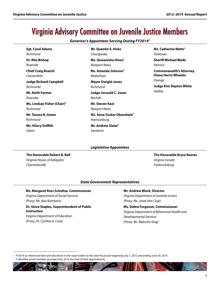# Virginia Advisory Committee on Juvenile Justice Members

*Governor's Appointees Serving During FY20143*

| <b>Sgt. Carol Adams</b>                   | <b>Mr. Quentin E. Hicks</b>                   | Ms. Catherine Watts <sup>Y</sup>                       |
|-------------------------------------------|-----------------------------------------------|--------------------------------------------------------|
| Richmond                                  | Chesapeake                                    | Yorktown                                               |
| Dr. Rita Bishop                           | Ms. Quwanisha Hines <sup>Y</sup>              | <b>Sheriff Michael Wade</b>                            |
| Roanoke                                   | <b>Newport News</b>                           | Henrico                                                |
| <b>Chief Craig Branch</b><br>Chesterfield | Ms. Amanda Johnson <sup>Y</sup><br>Midlothian | <b>Commonwealth's Attorney</b><br>Diana Harris Wheeler |
| <b>Judge Richard Campbell</b>             | <b>Mayor Dwight Jones</b>                     | Orange                                                 |
| Richmond                                  | Richmond                                      | <b>Judge Kim Slayton White</b>                         |
| <b>Mr. Keith Farmer</b>                   | <b>Judge Jerrauld C. Jones</b>                | Halifax                                                |
| Roanoke                                   | Norfolk                                       |                                                        |
| Ms. Lindsay Fisher (Chair) <sup>Y</sup>   | <b>Mr. Steven Kast</b>                        |                                                        |
| Richmond                                  | Newport News                                  |                                                        |
| Mr. Terone B. Green                       | Ms. Anne Tucker Obenshain <sup>Y</sup>        |                                                        |
| Richmond                                  | Harrisonburg                                  |                                                        |
| <b>Ms. Hilary Griffith</b>                | Mr. Andrew Slater <sup>Y</sup>                |                                                        |
| Salem                                     | Sandston                                      |                                                        |

**The Honorable Robert B. Bell** *Virginia House of Delegates Charlottesville*

#### *Legislative Appointees*

**The Honorable Bryce Reeves** *Virginia Senate Fredericksburg*

#### *State Government Representatives*

#### **Ms. Margaret Ross Schultze, Commissioner**

*Virginia Department of Social Services (Proxy: Mr. Alex Kamberis)*

# **Dr. Steve Staples, Superintendent of Public Instruction**

*Virginia Department of Education (Proxy: Dr. Cynthia A. Cave)* 

#### **Mr. Andrew Block, Director**

*Virginia Department of Juvenile Justice (Proxy: Ms. Janet Van Cuyk)*

#### **Ms. Debra Ferguson, Commissioner**

*Virginia Department of Behavioral Health and Developmental Services (Proxy: Mr. Malcolm King)*

<sup>3</sup> FY2014 as referenced here and elsewhere in this report refers to the state fiscal year beginning July 1, 2013 and ending June 30, 2014. Y identifies youth member (younger than 24 at the time of their appointment).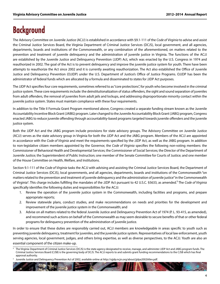# **Background**

The Advisory Committee on Juvenile Justice (ACJJ) is established in accordance with §9.1-111 of the *Code of Virginia* to advise and assist the Criminal Justice Services Board, the Virginia Department of Criminal Justice Services (DCJS), local government, and all agencies, departments, boards and institutions of the Commonwealth, or any combination of the aforementioned, on matters related to the prevention and treatment of juvenile delinquency and the administration of juvenile justice in Virginia. The functions of the ACJJ are established by the Juvenile Justice and Delinquency Prevention (JJDP) Act, which was enacted by the U.S. Congress in 1974 and reauthorized in 2002. The goal of the Act is to prevent delinquency and improve the juvenile justice system for youth. There have been attempts to reauthorize the Act since 2002 and it is currently awaiting reauthorization. The Act also established the Office of Juvenile Justice and Delinquency Prevention (OJJDP) under the U.S. Department of Justice's Office of Justice Programs. OJJDP has been the administrator of federal funds which are allocated by a formula and disseminated to states for JJDP Act purposes.

The JJDP Act specifies four core requirements, sometimes referred to as "core protections", for youth who become involved in the criminal justice system. These core requirements include: the deinstitutionalization of status offenders, the sight and sound separation of juveniles from adult offenders, the removal of juveniles from adult jails and lockups, and addressing disproportionate minority contact within the juvenile justice system. States must maintain compliance with these four requirements.

In addition to the Title II Formula Grant Program mentioned above, Congress created a separate funding stream known as the Juvenile Accountability Incentive Block Grant (JAIBG) program. Later changed to the Juvenile Accountability Block Grant (JABG) program, Congress enacted JABG to reduce juvenile offending through accountability-based programs targeted towards juvenile offenders and the juvenile justice system.

Both the JJDP Act and the JABG program include provisions for state advisory groups. The Advisory Committee on Juvenile Justice (ACJJ) serves as the state advisory group in Virginia for both the JJDP Act and the JABG program. Members of the ACJJ are appointed in accordance with the *Code of Virginia* and meet the requirements specified by the JJDP Act, as well as the JABG program. In addition to non-legislative citizen members appointed by the Governor, the *Code of Virginia* specifies the following non-voting members: the Commissioner of Behavioral Health and Developmental Services; the Commissioner of Social Services; the Director of the Department of Juvenile Justice; the Superintendent of Public Instruction; one member of the Senate Committee for Courts of Justice; and one member of the House Committee on Health, Welfare, and Institutions.

Section 9.1-111 of the *Code of Virginia* tasks the ACJJ with advising and assisting the Criminal Justice Services Board, the Department of Criminal Justice Services (DCJS), local governments, and all agencies, departments, boards and institutions of the Commonwealth "on matters related to the prevention and treatment of juvenile delinquency and the administration of juvenile justice" in the Commonwealth of Virginia<sup>4</sup>. This charge includes fulfilling the mandates of the JJDP Act pursuant to 42 U.S.C. §5633, as amended.<sup>5</sup> The *Code of Virginia* specifically identifies the following duties and responsibilities for the ACJJ:

- 1. Review the operation of the juvenile justice system in the Commonwealth, including facilities and programs, and prepare appropriate reports;
- 2. Review statewide plans, conduct studies, and make recommendations on needs and priorities for the development and improvement of the juvenile justice system in the Commonwealth; and
- 3. Advise on all matters related to the federal Juvenile Justice and Delinquency Prevention Act of 1974 (P. L. 93-415, as amended), and recommend such actions on behalf of the Commonwealth as may seem desirable to secure benefits of that or other federal programs for delinquency prevention of the administration of juvenile justice.

In order to ensure that these duties are responsibly carried out, ACJJ members are knowledgeable in areas specific to youth such as preventing juvenile delinquency, treatment for juveniles, and the juvenile justice system. Representatives of local law enforcement, youth serving agencies, local government, judges, and others bring expertise, as well as diverse perspectives, to the ACJJ. Youth are also an essential component of the citizen make-up.

<sup>4</sup> The Virginia Department of Criminal Justice Services (DCJS) is the state agency designated to receive, manage, and administer JJDP Act and JABG program funds. The Criminal Justice Services Board (CJSB) is the governing body of DCJS. The ACJJ reports to and submits grant funding recommendations to the CJSB which has final approval authority.

<sup>5</sup> Juvenile Justice and Delinquency Prevention Act of 2002, available online at [http://ojjdp.ncjrs.org/about/jjdpa2002titlev.pdf.](http://ojjdp.ncjrs.org/about/jjdpa2002titlev.pdf)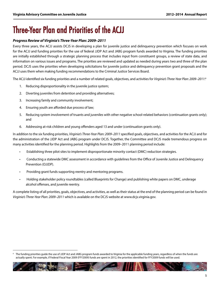# Three-Year Plan and Priorities of the ACJJ

### *Progress Review of Virginia's Three-Year Plan: 2009–2011*

Every three years, the ACJJ assists DCJS in developing a plan for juvenile justice and delinquency prevention which focuses on work for the ACJJ and funding priorities for the use of federal JJDP Act and JABG program funds awarded to Virginia. The funding priorities are initially established through a strategic planning process that includes input from constituent groups, a review of state data, and information on various issues and programs. The priorities are reviewed and updated as needed during years two and three of the plan period. DCJS uses the priorities when developing solicitations for juvenile justice and delinquency prevention grant proposals and the ACJJ uses them when making funding recommendations to the Criminal Justice Services Board.

The ACJJ identified six funding priorities and a number of related goals, objectives, and activities for *Virginia's Three-Year Plan: 2009–2011*: 6

- 1. Reducing disproportionality in the juvenile justice system;
- 2. Diverting juveniles from detention and providing alternatives;
- 3. Increasing family and community involvement;
- 4. Ensuring youth are afforded due process of law;
- 5. Reducing system involvement of truants and juveniles with other negative school-related behaviors (continuation grants only); and
- 6. Addressing at-risk children and young offenders aged 13 and under (continuation grants only).

In addition to the six funding priorities, *Virginia's Three-Year Plan: 2009–2011* specified goals, objectives, and activities for the ACJJ and for the administration of the JJDP Act and JABG program under DCJS. Together, the Committee and DCJS made tremendous progress on many activities identified for the planning period. Highlights from the 2009–2011 planning period include:

- Establishing three pilot sites to implement disproportionate minority contact (DMC) reduction strategies.
- Conducting a statewide DMC assessment in accordance with guidelines from the Office of Juvenile Justice and Delinquency Prevention (OJJDP).
- Providing grant funds supporting reentry and mentoring programs.
- Holding stakeholder policy roundtables (called Blueprints for Change) and publishing white papers on DMC, underage alcohol offenses, and juvenile reentry.

A complete listing of all priorities, goals, objectives, and activities, as well as their status at the end of the planning period can be found in *Virginia's Three-Year Plan: 2009–2011* which is available on the DCJS website at [www.dcjs.virginia.gov.](http://www.dcjs.virginia.gov.) 

The funding priorities guide the use of JJDP Act and JABG program funds awarded to Virginia for the applicable funding years, regardless of when the funds are actually spent. For example, if Federal Fiscal Year 2009 (FFY2009) funds are spent in 2012, the priorities identified for FFY2009 funds will be used.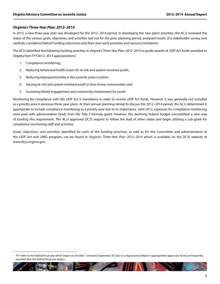#### *Virginia's Three-Year Plan: 2012–2014*

In 2012, a new three-year plan was developed for the 2012–2014 period. In developing the new plan's priorities, the ACJJ reviewed the status of the various goals, objectives, and activities laid out for the prior planning period, analyzed results of a stakeholder survey, and carefully considered federal funding reductions and their own work priorities and resource limitations.

The ACJJ identified the following funding priorities in *Virginia's Three-Year Plan: 2012–2014* to guide awards of JJDP Act funds awarded to Virginia from FFY2012–2014 appropriations:7

- 1. Compliance monitoring;
- 2. Reducing behavioral health issues for at-risk and system-involved youth;
- 3. Reducing disproportionality in the juvenile justice system;
- 4. Serving at-risk and system-involved youth in their home communities; and
- 5. Increasing family engagement and community involvement for youth.

Monitoring for compliance with the JJDP Act is mandatory in order to receive JJDP Act funds. However, it was generally not included as a priority area in previous three-year plans. At their annual planning retreat to discuss the 2012–2014 period, the ACJJ determined it appropriate to include compliance monitoring as a priority area due to its importance. Until 2012, expenses for compliance monitoring were paid with administrative funds from the Title II formula grant; however, the declining federal budget necessitated a new way of funding this requirement. The ACJJ approved DCJS' request to follow the lead of other states and begin utilizing a sub-grant for compliance monitoring staff and activities.

Goals, objectives, and activities identified for each of the funding priorities, as well as for the Committee and administration of the JJDP Act and JABG program, can be found in *Virginia's Three-Year Plan: 2012–2014* which is available on the DCJS website at www.dcjs.virginia.gov.

FFY refers to the federal fiscal year which begins on October 1 and ends September 30. Due to Congressional delays in appropriation approvals, funds are frequently awarded after the federal fiscal year begins.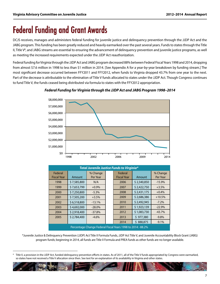# Federal Funding and Grant Awards

DCJS receives, manages and administers federal funding for juvenile justice and delinquency prevention through the JJDP Act and the JABG program. This funding has been greatly reduced and heavily earmarked over the past several years. Funds to states through the Title II, Title V<sup>8</sup>, and JABG streams are essential to ensuring the advancement of delinquency prevention and juvenile justice programs, as well as meeting the increased requirements expected under the JJDP Act reauthorization.

Federal funding for Virginia through the JJDP Act and JABG program decreased 88% between Federal Fiscal Years 1998 and 2014, dropping from almost \$7.6 million in 1998 to less than \$1 million in 2014. [See Appendix A for a year-by-year breakdown by funding stream.] The most significant decrease occurred between FFY2011 and FFY2012, when funds to Virginia dropped 43.7% from one year to the next. Part of the decrease is attributable to the elimination of Title V funds allocated to states under the JJDP Act. Though Congress continues to fund Title V, the funds ceased being distributed via formula to states with the FFY2012 appropriation.



#### *Federal Funding for Virginia through the JJDP Act and JABG Program 1998–2014*

| Total Juvenile Justice Funds to Virginia*                                                                                                                                                   |             |                      |  |                               |             |                      |
|---------------------------------------------------------------------------------------------------------------------------------------------------------------------------------------------|-------------|----------------------|--|-------------------------------|-------------|----------------------|
| Federal<br><b>Fiscal Year</b>                                                                                                                                                               | Amount      | % Change<br>Per Year |  | Federal<br><b>Fiscal Year</b> | Amount      | % Change<br>Per Year |
| 1998                                                                                                                                                                                        | \$7,585,800 | N/A                  |  | 2006                          | \$2,340,850 | $-15.9%$             |
| 1999                                                                                                                                                                                        | \$7,653,799 | $+0.9%$              |  | 2007                          | \$2,422,750 | $+3.5%$              |
| 2000                                                                                                                                                                                        | \$7,250,800 | $-5.3%$              |  | 2008                          | \$2,431,175 | $+0.4%$              |
| 2001                                                                                                                                                                                        | \$7,505,200 | $+3.5%$              |  | 2009                          | \$2,686,386 | $+10.5%$             |
| 2002                                                                                                                                                                                        | \$6,518,800 | $-13.1%$             |  | 2010                          | \$2,492,945 | $-7.2%$              |
| 2003                                                                                                                                                                                        | \$4,692,000 | $-28.0%$             |  | 2011                          | \$1,923,139 | $-22.9%$             |
| 2004                                                                                                                                                                                        | \$2,918,400 | $-37.8%$             |  | 2012                          | \$1,083,730 | $-43.7%$             |
| 2005                                                                                                                                                                                        | \$2,784,400 | $-4.6%$              |  | 2013                          | \$977,380   | $-9.8%$              |
|                                                                                                                                                                                             |             |                      |  | 2014                          | \$888,875   | $-9.1%$              |
| $D_{\text{unco}}$ $\sim$ $D_{\text{unco}}$ $D_{\text{unco}}$ $D_{\text{unco}}$ $D_{\text{unco}}$ $D_{\text{unco}}$ $D_{\text{nonco}}$ $D_{\text{unco}}$ $D_{\text{unco}}$ $D_{\text{unco}}$ |             |                      |  |                               |             |                      |

Percentage Change Federal Fiscal Years 1998 to 2014:

\*Juvenile Justice & Delinquency Prevention (JJDP) Act Title II Formula Funds, JJDP Act Title V, and Juvenile Accountability Block Grant (JABG) program funds; beginning in 2014, all funds are Title II Formula and PREA funds as other funds are no longer available.

Title V, a provision in the JJDP Act, funded delinquency prevention efforts in states. As of 2011, all of the Title V funds appropriated by Congress were earmarked, so states have not received a Title V allocation since then. See text for an explanation of its availability in Virginia and other states.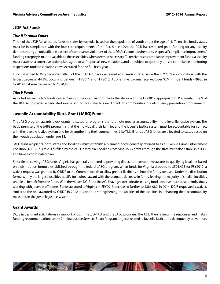## **JJDP Act Funds**

#### *Title II Formula Funds*

Title II of the JJDP Act allocates funds to states by formula, based on the population of youth under the age of 18. To receive funds, states must be in compliance with the four core requirements of the Act. Since 1994, the ACJJ has restricted grant funding for any locality demonstrating an unjustifiable pattern of compliance violations of the JJDP Act's core requirements. A special "compliance improvement" funding category is made available to these localities when deemed necessary. To receive such compliance improvement funds, a locality must establish a corrective action plan, agree to self-report all new violations, and be subject to quarterly on-site compliance monitoring inspections until no violations have occurred for one full fiscal year.

Funds awarded to Virginia under Title II of the JJDP Act have decreased at increasing rates since the FFY2009 appropriation, with the largest decrease, 44.3%, occurring between FFY2011 and FFY2012. At one time, Virginia received over \$2M in Title II funds (1998); in FY2014 that sum decreased to \$870,181.

### *Title V Funds*

As noted earlier, Title V funds ceased being distributed via formula to the states with the FFY2012 appropriation. Previously, Title V of the JJDP Act provided a dedicated source of funds for states to award grants to communities for delinquency prevention programming.

# **Juvenile Accountability Block Grant (JABG) Funds**

The JABG program awards block grants to states for programs that promote greater accountability in the juvenile justice system. The basic premise of the JABG program is that the individual, their families and the juvenile justice system must be accountable for contact with the juvenile justice system and for strengthening their communities. Like Title II funds, JABG funds are allocated to states based on their youth population under age 18.

JABG fund recipients, both states and localities, must establish a planning body, generally referred to as a Juvenile Crime Enforcement Coalition (JCEC). This role is fulfilled by the ACJJ in Virginia. Localities receiving JABG grants through the state must also establish a JCEC and have a coordinated plan.

Since first receiving JABG funds, Virginia has generally adhered to providing direct, non-competitive awards to qualifying localities based on a distribution formula established through the federal JABG program. When funds for Virginia dropped to \$501,475 for FFY2012, a waiver request was granted by OJJDP to the Commonwealth to allow greater flexibility in how the funds are used. Under the distribution formula, only the largest localities qualify for a direct award with the dramatic decrease in funds, leaving the majority of smaller localities unable to benefit from the funds. With the waiver, DCJS and the ACJJ have greater latitude in using funds to serve more areas or individuals working with juvenile offenders. Funds awarded to Virginia in FFY2013 decreased further to \$386,080. In 2014, DCJS requested a waiver, similar to the one awarded by OJJDP in 2012, to continue strengthening the abilities of the localities in enhancing their accountability measures in the juvenile justice system.

# **Grant Awards**

DCJS issues grant solicitations in support of both the JJDP Act and the JABG program. The ACJJ then reviews the responses and makes funding recommendations to the Criminal Justice Services Board for grant projects related to juvenile justice and delinquency prevention.

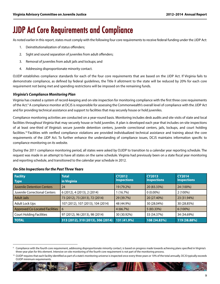# JJDP Act Core Requirements and Compliance

As noted earlier in this report, states must comply with the following four core requirements to receive federal funding under the JJDP Act:

- 1. Deinstitutionalization of status offenders;
- 2. Sight and sound separation of juveniles from adult offenders;
- 3. Removal of juveniles from adult jails and lockups; and
- 4. Addressing disproportionate minority contact.

OJJDP establishes compliance standards for each of the four core requirements that are based on the JJDP Act. If Virginia fails to demonstrate compliance, as defined by federal guidelines, the Title II allotment to the state will be reduced by 20% for each core requirement not being met and spending restrictions will be imposed on the remaining funds.

#### *Virginia's Compliance Monitoring Plan*

Virginia has created a system of record-keeping and on-site inspection for monitoring compliance with the first three core requirements of the Act.9 A compliance monitor at DCJS is responsible for assessing the Commonwealth's overall level of compliance with the JJDP Act and for providing technical assistance and support to facilities that may securely house or hold juveniles.

Compliance monitoring activities are conducted on a year-round basis. Monitoring includes desk audits and site visits of state and local facilities throughout Virginia that may securely house or hold juveniles. A plan is developed each year that includes on-site inspections of at least one-third of Virginia's secure juvenile detention centers, juvenile correctional centers, jails, lockups, and court holding facilities.<sup>10</sup> Facilities with verified compliance violations are provided individualized technical assistance and training about the core requirements of the JJDP Act. To further enhance the understanding of compliance issues, DCJS maintains information specific to compliance monitoring on its website.

During the 2011 compliance monitoring period, all states were asked by OJJDP to transition to a calendar year reporting schedule. The request was made in an attempt to have all states on the same schedule. Virginia had previously been on a state fiscal year monitoring and reporting schedule, and transitioned to the calendar year schedule in 2012.

| <b>Facility</b><br><b>Type</b>    | <b>Total</b><br>in Virginia        | <b>CY2012</b><br><b>Inspections</b> | <b>CY2013</b><br><b>Inspections</b> | <b>CY2014</b><br><b>Inspections</b> |
|-----------------------------------|------------------------------------|-------------------------------------|-------------------------------------|-------------------------------------|
| <b>Juvenile Detention Centers</b> | 24                                 | 19 (79.2%)                          | 20 (83.33%)                         | 24 (100%)                           |
| Juvenile Correctional Centers     | 6 (2012), 4 (2013), 2 (2014)       | 1(16.7%)                            | $0(0.00\%)$                         | 2 (100%)                            |
| <b>Adult Jails</b>                | 73 (2012), 73 (2013), 72 (2014)    | 29 (39.7%)                          | 20 (27.40%)                         | 23 (31.94%)                         |
| <b>Adult Lock Ups</b>             | 107 (2012), 107 (2013), 104 (2014) | 48 (44.9%)                          | 30 (28.04%)                         | 30 (28.85%)                         |
| Approved Co-Located Facilities    | 6                                  | 4(66.7%)                            | 5(83.33%)                           | $6(100\%)$                          |
| Court Holding Facilities          | 97 (2012), 96 (2013), 98 (2014)    | 30 (30.92%)                         | 33 (34.37%)                         | 34 (34.69%)                         |
| <b>TOTAL</b>                      | 313 (2012), 310 (2013), 306 (2014) | 131 (41.9%)                         | 108 (34.83%)                        | 119 (38.88%)                        |

#### *On-Site Inspections for the Past Three Years*

Compliance with the fourth core requirement, addressing disproportionate minority contact, is based on progress made towards achieving plans specified in Virginia's three-year plan for this element. Intensive on-site monitoring of the fourth core requirement is not part of the monitoring process.

<sup>10</sup> OJJDP requires that each facility identified as part of a state's monitoring universe is inspected once every three years or 10% of the total annually. DCJS typically exceeds OJJDP minimum requirements.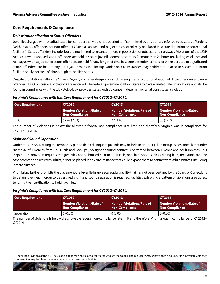### **Core Requirements & Compliance**

#### *Deinstitutionalization of Status Offenders*

Juveniles charged with, or adjudicated for, conduct that would not be criminal if committed by an adult are referred to as status offenders. Neither status offenders nor non-offenders (such as abused and neglected children) may be placed in secure detention or correctional facilities.<sup>11</sup> Status offenders include, but are not limited to, truants, minors in possession of tobacco, and runaways. Violations of the JJDP Act occur when accused status offenders are held in secure juvenile detention centers for more than 24 hours (excluding weekends and holidays), when adjudicated status offenders are held for any length of time in secure detention centers, or when accused or adjudicated status offenders are held in any adult jail or municipal lockup. Under no circumstances may children be placed in secure detention facilities solely because of abuse, neglect, or alien status.

Despite prohibitions within the *Code of Virginia*, and federal regulations addressing the deinstitutionalization of status offenders and nonoffenders (DSO), occasional violations are recorded. The federal government allows states to have a limited rate of violations and still be found in compliance with the JJDP Act. OJJDP provides states with guidance in determining what constitutes a violation.

#### *Virginia's Compliance with this Core Requirement for CY2012–CY2014:*

| <b>Core Requirement</b> | <b>CY2012</b>                                      | <b>CY2013</b>                                             | <b>CY2014</b>                                             |
|-------------------------|----------------------------------------------------|-----------------------------------------------------------|-----------------------------------------------------------|
|                         | <b>Number Violations/Rate of</b><br>Non-Compliance | <b>Number Violations/Rate of</b><br><b>Non-Compliance</b> | <b>Number Violations/Rate of</b><br><b>Non-Compliance</b> |
| <b>DSO</b>              | 52.42 (2.83)                                       | 27 (1.46)                                                 | 30(1.62)                                                  |

The number of violations is below the allowable federal non-compliance rate limit and therefore, Virginia was in compliance for CY2012–CY2014.

### *Sight and Sound Separation*

Under the JJDP Act, during the temporary period that a delinquent juvenile may be held in an adult jail or lockup as described later under "Removal of Juveniles from Adult Jails and Lockups", no sight or sound contact is permitted between juvenile and adult inmates. This "separation" provision requires that juveniles not be housed next to adult cells, not share space such as dining halls, recreation areas or other common spaces with adults, or not be placed in any circumstance that could expose them to contact with adult inmates, including inmate trustees.

Virginia law further prohibits the placement of a juvenile in any secure adult facility that has not been certified by the Board of Corrections to detain juveniles. In order to be certified, sight and sound separation is required. Facilities exhibiting a pattern of violations are subject to losing their certification to hold juveniles.

#### *Virginia's Compliance with this Core Requirement for CY2012–CY2014:*

| <b>Core Requirement</b> | <b>CY2012</b>                                             | <b>CY2013</b>                                             | <b>CY2014</b>                                      |
|-------------------------|-----------------------------------------------------------|-----------------------------------------------------------|----------------------------------------------------|
|                         | <b>Number Violations/Rate of</b><br><b>Non-Compliance</b> | <b>Number Violations/Rate of</b><br><b>Non-Compliance</b> | <b>Number Violations/Rate of</b><br>Non-Compliance |
| Separation              | 0 (0.00)                                                  | 0(0.00)                                                   | 0(0.00)                                            |

The number of violations is below the allowable federal non-compliance rate limit and therefore, Virginia was in compliance for CY2012– CY2014.

<sup>11</sup> Under the provisions of the JJDP Act, status offenders who violate a court order, violate the Youth Handgun Safety Act, or have been held under the Interstate Compact on Juveniles may be placed in secure detention or correctional facilities.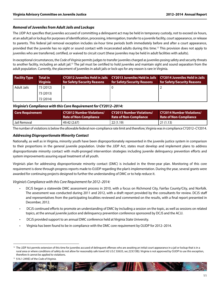#### *Removal of Juveniles from Adult Jails and Lockups*

The JJDP Act specifies that juveniles accused of committing a delinquent act may be held in temporary custody, not to exceed six hours, at an adult jail or lockup for purposes of identification, processing, interrogation, transfer to a juvenile facility, court appearance, or release to parents. This federal jail removal exception includes six-hour time periods both immediately before and after a court appearance, provided that the juvenile has no sight or sound contact with incarcerated adults during this time.12 This provision does not apply to juveniles who are transferred, certified, or waived to circuit court (these juveniles may be held in adult facilities with adults).

In exceptional circumstances, the *Code of Virginia* permits judges to transfer juveniles charged as juveniles posing safety and security threats to another facility, including an adult jail.13 The jail must be certified to hold juveniles and maintain sight and sound separation from the adult population. Currently, the placement of juveniles in adult jails or lock-ups for any reason is rare in Virginia.

| <b>Facility Type</b> | Total in<br><b>Virginia</b> | for Safety/Security Reasons | CY2012 Juveniles Held in Jails  CY2013 Juveniles Held in Jails  CY2014 Juveniles Held in Jails<br>for Safety/Security Reasons | for Safety/Security Reasons |
|----------------------|-----------------------------|-----------------------------|-------------------------------------------------------------------------------------------------------------------------------|-----------------------------|
| Adult Jails          | 73 (2012)                   |                             |                                                                                                                               |                             |
|                      | 73 (2013)                   |                             |                                                                                                                               |                             |
|                      | 72 (2014)                   |                             |                                                                                                                               |                             |

#### *Virginia's Compliance with this Core Requirement for CY2012–2014:*

| <b>Core Requirement</b> | <b>CY2012 Number Violations/</b> | <b>CY2013 Number Violations/</b> | <b>CY2014 Number Violations/</b> |
|-------------------------|----------------------------------|----------------------------------|----------------------------------|
|                         | <b>Rate of Non-Compliance</b>    | Rate of Non-Compliance           | <b>Rate of Non-Compliance</b>    |
| Jail Removal            | 49.42 (2.67)                     | 22(1.19)                         | 21(1.13)                         |

The number of violations is below the allowable federal non-compliance rate limit and therefore, Virginia was in compliance CY2012–CY2014.

#### *Addressing Disproportionate Minority Contact*

Nationally, as well as in Virginia, minority youth have been disproportionately represented in the juvenile justice system in comparison to their proportions in the general juvenile population. Under the JJDP Act, states must develop and implement plans to address disproportionate minority contact with multi-pronged intervention strategies including juvenile delinquency prevention efforts and system improvements assuring equal treatment of all youth.

Virginia's plan for addressing disproportionate minority contact (DMC) is included in the three-year plan. Monitoring of this core requirement is done through progress reports made to OJJDP regarding the plan's implementation. During the year, several grants were awarded for continuing projects designed to further the understanding of DMC or to help reduce it.

*Virginia's Compliance with this Core Requirement for 2012–2014:*

- DCJS began a statewide DMC assessment process in 2010, with a focus on Richmond City, Fairfax County/City, and Norfolk. The assessment was conducted during 2011 and 2012, with a draft report provided by the consultants for review. DCJS staff and representatives from the participating localities reviewed and commented on the results, with a final report presented in December, 2012.
- DCJS continued efforts to promote an understanding of DMC by including a session on the topic, as well as sessions on related topics, at the annual juvenile justice and delinquency prevention conference sponsored by DCJS and the ACJJ.
- DCJS provided support to an annual DMC conference held at Virginia State University.
- Virginia has been found to be in compliance with the DMC core requirement by OJJDP for 2012–2014.

 $\sim$   $\blacksquare$ 

<sup>&</sup>lt;sup>12</sup> The JJDP Act permits extension of this time for juveniles accused of delinquent offenses who are awaiting an initial court appearance in a jail or lockup that is in a rural area or where conditions of safety do not allow for reasonably safe travel (42 U.S.C §5633, sec.223(13B)). Virginia is not approved by OJJDP to use this exception, therefore it cannot be applied to violations.

<sup>13</sup> §16.1-249(E) of the *Code of Virginia*.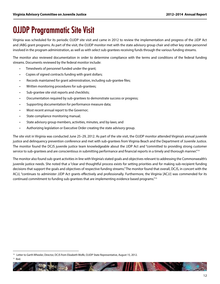# OJJDP Programmatic Site Visit

Virginia was scheduled for its periodic OJJDP site visit and came in 2012 to review the implementation and progress of the JJDP Act and JABG grant programs. As part of the visit, the OJJDP monitor met with the state advisory group chair and other key state personnel involved in the program administration, as well as with select sub-grantees receiving funds through the various funding streams.

The monitor also reviewed documentation in order to determine compliance with the terms and conditions of the federal funding streams. Documents reviewed by the federal monitor include:

- Timesheets of personnel funded under the grant;
- Copies of signed contracts funding with grant dollars;
- Records maintained for grant administration, including sub-grantee files;
- Written monitoring procedures for sub-grantees;
- Sub-grantee site visit reports and checklists;
- Documentation required by sub-grantees to demonstrate success or progress;
- Supporting documentation for performance measure data;
- Most recent annual report to the Governor;
- State compliance monitoring manual;
- State advisory group members, activities, minutes, and by-laws; and
- Authorizing legislation or Executive Order creating the state advisory group.

The site visit in Virginia was conducted June 25–29, 2012. As part of the site visit, the OJJDP monitor attended Virginia's annual juvenile justice and delinquency prevention conference and met with sub-grantees from Virginia Beach and the Department of Juvenile Justice. The monitor found the DCJS juvenile justice team knowledgeable about the JJDP Act and "committed to providing strong customer service to sub-grantees and are conscientious in submitting performance and financial reports in a timely and thorough manner."<sup>14</sup>

The monitor also found sub-grant activities in line with Virginia's stated goals and objectives relevant to addressing the Commonwealth's juvenile justice needs. She noted that a "clear and thoughtful process exists for setting priorities and for making sub-recipient funding decisions that support the goals and objectives of respective funding streams." The monitor found that overall, DCJS, in concert with the ACJJ, "continues to administer JJDP Act grants effectively and professionally. Furthermore, the Virginia [ACJJ] was commended for its continued commitment to funding sub-grantees that are implementing evidence based programs."15

 $15$  Ibid

<sup>&</sup>lt;sup>14</sup> Letter to Garth Wheeler, Director, DCJS from Elizabeth Wolfe, OJJDP State Representative, August 15, 2012.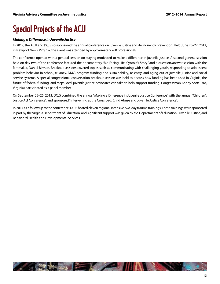# Special Projects of the ACJJ

### *Making a Difference in Juvenile Justice*

In 2012, the ACJJ and DCJS co-sponsored the annual conference on juvenile justice and delinquency prevention. Held June 25–27, 2012, in Newport News, Virginia, the event was attended by approximately 260 professionals.

The conference opened with a general session on staying motivated to make a difference in juvenile justice. A second general session held on day two of the conference featured the documentary "Me Facing Life: Cyntoia's Story" and a question/answer session with the filmmaker, Daniel Birman. Breakout sessions covered topics such as communicating with challenging youth, responding to adolescent problem behavior in school, truancy, DMC, program funding and sustainability, re-entry, and aging out of juvenile justice and social service systems. A special congressional conversation breakout session was held to discuss how funding has been used in Virginia, the future of federal funding, and steps local juvenile justice advocates can take to help support funding. Congressman Bobby Scott (3rd, Virginia) participated as a panel member.

On September 25–26, 2013, DCJS combined the annual "Making a Difference in Juvenile Justice Conference" with the annual "Children's Justice Act Conference", and sponsored "Intervening at the Crossroad: Child Abuse and Juvenile Justice Conference".

In 2014 as a follow up to the conference, DCJS hosted eleven regional intensive two-day trauma trainings. These trainings were sponsored in part by the Virginia Department of Education, and significant support was given by the Departments of Education, Juvenile Justice, and Behavioral Health and Developmental Services.

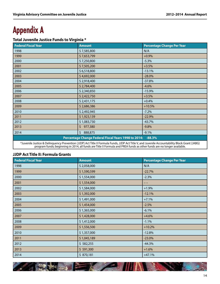# Appendix A

# **Total Juvenile Justice Funds to Virginia \***

| <b>Federal Fiscal Year</b>                                  | <b>Amount</b> | <b>Percentage Change Per Year</b> |  |
|-------------------------------------------------------------|---------------|-----------------------------------|--|
| 1998                                                        | \$7,585,800   | N/A                               |  |
| 1999                                                        | \$7,653,799   | $+0.9%$                           |  |
| 2000                                                        | \$7,250,800   | $-5.3%$                           |  |
| 2001                                                        | \$7,505,200   | $+3.5%$                           |  |
| 2002                                                        | \$6,518,800   | $-13.1%$                          |  |
| 2003                                                        | \$4,692,000   | $-28.0%$                          |  |
| 2004                                                        | \$2,918,400   | $-37.8%$                          |  |
| 2005                                                        | \$2,784,400   | $-4.6%$                           |  |
| 2006                                                        | \$2,340,850   | $-15.9%$                          |  |
| 2007                                                        | \$2,422,750   | $+3.5%$                           |  |
| 2008                                                        | \$2,431,175   | $+0.4%$                           |  |
| 2009                                                        | \$2,686,386   | $+10.5%$                          |  |
| 2010                                                        | \$2,492,945   | $-7.2%$                           |  |
| 2011                                                        | \$1,923,139   | $-22.9%$                          |  |
| 2012                                                        | \$1,083,730   | $-43.7%$                          |  |
| 2013                                                        | \$977,380     | $-9.8%$                           |  |
| 2014                                                        | \$888,875     | $-9.1%$                           |  |
| Percentage Change Federal Fiscal Years 1998 to 2014: -88.3% |               |                                   |  |

\*Juvenile Justice & Delinquency Prevention (JJDP) Act Title II Formula Funds, JJDP Act Title V, and Juvenile Accountability Block Grant (JABG) program funds; beginning in 2014, all funds are Title II Formula and PREA funds as other funds are no longer available.

### **JJDP Act Title II: Formula Grants**

| <b>Federal Fiscal Year</b> | <b>Amount</b> | <b>Percentage Change Per Year</b> |
|----------------------------|---------------|-----------------------------------|
| 1998                       | \$2,058,000   | N/A                               |
| 1999                       | \$1,590,599   | $-22.7%$                          |
| 2000                       | \$1,554,000   | $-2.3%$                           |
| 2001                       | \$1,554,000   | --                                |
| 2002                       | \$1,584,000   | $+1.9%$                           |
| 2003                       | \$1,392,000   | $-12.1%$                          |
| 2004                       | \$1,491,000   | $+7.1%$                           |
| 2005                       | \$1,454,000   | $-2.5%$                           |
| 2006                       | \$1,365,000   | $-6.1%$                           |
| 2007                       | \$1,428,000   | $+4.6%$                           |
| 2008                       | \$1,412,000   | $-1.1%$                           |
| 2009                       | \$1,556,500   | $+10.2%$                          |
| 2010                       | \$1,357,000   | $-12.8%$                          |
| 2011                       | \$1,045,189   | $-23.0%$                          |
| 2012                       | \$582,255     | $-44.3%$                          |
| 2013                       | \$591,300     | $+1.6%$                           |
| 2014                       | \$870,181     | $+47.1%$                          |